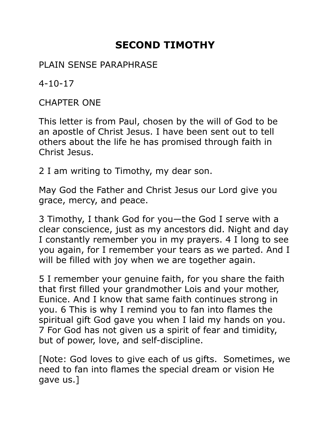## **SECOND TIMOTHY**

PLAIN SENSE PARAPHRASE

4-10-17

CHAPTER ONE

This letter is from Paul, chosen by the will of God to be an apostle of Christ Jesus. I have been sent out to tell others about the life he has promised through faith in Christ Jesus.

2 I am writing to Timothy, my dear son.

May God the Father and Christ Jesus our Lord give you grace, mercy, and peace.

3 Timothy, I thank God for you—the God I serve with a clear conscience, just as my ancestors did. Night and day I constantly remember you in my prayers. 4 I long to see you again, for I remember your tears as we parted. And I will be filled with joy when we are together again.

5 I remember your genuine faith, for you share the faith that first filled your grandmother Lois and your mother, Eunice. And I know that same faith continues strong in you. 6 This is why I remind you to fan into flames the spiritual gift God gave you when I laid my hands on you. 7 For God has not given us a spirit of fear and timidity, but of power, love, and self-discipline.

[Note: God loves to give each of us gifts. Sometimes, we need to fan into flames the special dream or vision He gave us.]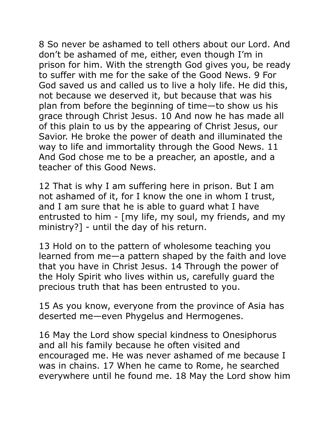8 So never be ashamed to tell others about our Lord. And don't be ashamed of me, either, even though I'm in prison for him. With the strength God gives you, be ready to suffer with me for the sake of the Good News. 9 For God saved us and called us to live a holy life. He did this, not because we deserved it, but because that was his plan from before the beginning of time—to show us his grace through Christ Jesus. 10 And now he has made all of this plain to us by the appearing of Christ Jesus, our Savior. He broke the power of death and illuminated the way to life and immortality through the Good News. 11 And God chose me to be a preacher, an apostle, and a teacher of this Good News.

12 That is why I am suffering here in prison. But I am not ashamed of it, for I know the one in whom I trust, and I am sure that he is able to guard what I have entrusted to him - [my life, my soul, my friends, and my ministry?] - until the day of his return.

13 Hold on to the pattern of wholesome teaching you learned from me—a pattern shaped by the faith and love that you have in Christ Jesus. 14 Through the power of the Holy Spirit who lives within us, carefully guard the precious truth that has been entrusted to you.

15 As you know, everyone from the province of Asia has deserted me—even Phygelus and Hermogenes.

16 May the Lord show special kindness to Onesiphorus and all his family because he often visited and encouraged me. He was never ashamed of me because I was in chains. 17 When he came to Rome, he searched everywhere until he found me. 18 May the Lord show him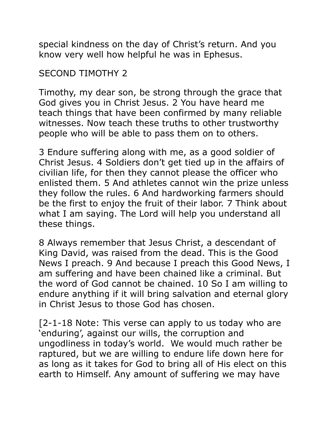special kindness on the day of Christ's return. And you know very well how helpful he was in Ephesus.

## SECOND TIMOTHY 2

Timothy, my dear son, be strong through the grace that God gives you in Christ Jesus. 2 You have heard me teach things that have been confirmed by many reliable witnesses. Now teach these truths to other trustworthy people who will be able to pass them on to others.

3 Endure suffering along with me, as a good soldier of Christ Jesus. 4 Soldiers don't get tied up in the affairs of civilian life, for then they cannot please the officer who enlisted them. 5 And athletes cannot win the prize unless they follow the rules. 6 And hardworking farmers should be the first to enjoy the fruit of their labor. 7 Think about what I am saying. The Lord will help you understand all these things.

8 Always remember that Jesus Christ, a descendant of King David, was raised from the dead. This is the Good News I preach. 9 And because I preach this Good News, I am suffering and have been chained like a criminal. But the word of God cannot be chained. 10 So I am willing to endure anything if it will bring salvation and eternal glory in Christ Jesus to those God has chosen.

[2-1-18 Note: This verse can apply to us today who are 'enduring', against our wills, the corruption and ungodliness in today's world. We would much rather be raptured, but we are willing to endure life down here for as long as it takes for God to bring all of His elect on this earth to Himself. Any amount of suffering we may have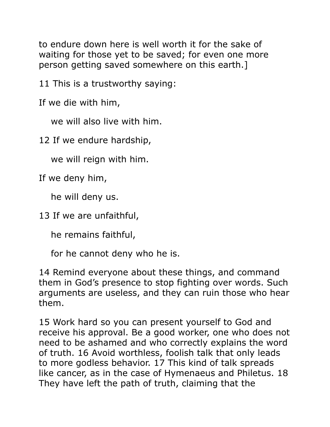to endure down here is well worth it for the sake of waiting for those yet to be saved; for even one more person getting saved somewhere on this earth.]

11 This is a trustworthy saying:

If we die with him,

we will also live with him.

12 If we endure hardship,

we will reign with him.

If we deny him,

he will deny us.

13 If we are unfaithful,

he remains faithful,

for he cannot deny who he is.

14 Remind everyone about these things, and command them in God's presence to stop fighting over words. Such arguments are useless, and they can ruin those who hear them.

15 Work hard so you can present yourself to God and receive his approval. Be a good worker, one who does not need to be ashamed and who correctly explains the word of truth. 16 Avoid worthless, foolish talk that only leads to more godless behavior. 17 This kind of talk spreads like cancer, as in the case of Hymenaeus and Philetus. 18 They have left the path of truth, claiming that the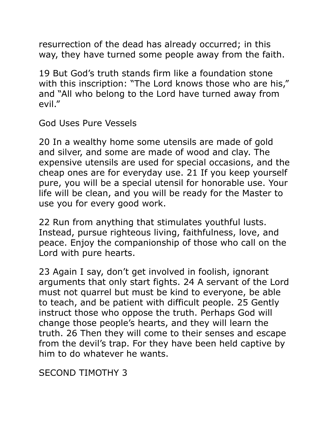resurrection of the dead has already occurred; in this way, they have turned some people away from the faith.

19 But God's truth stands firm like a foundation stone with this inscription: "The Lord knows those who are his," and "All who belong to the Lord have turned away from evil."

God Uses Pure Vessels

20 In a wealthy home some utensils are made of gold and silver, and some are made of wood and clay. The expensive utensils are used for special occasions, and the cheap ones are for everyday use. 21 If you keep yourself pure, you will be a special utensil for honorable use. Your life will be clean, and you will be ready for the Master to use you for every good work.

22 Run from anything that stimulates youthful lusts. Instead, pursue righteous living, faithfulness, love, and peace. Enjoy the companionship of those who call on the Lord with pure hearts.

23 Again I say, don't get involved in foolish, ignorant arguments that only start fights. 24 A servant of the Lord must not quarrel but must be kind to everyone, be able to teach, and be patient with difficult people. 25 Gently instruct those who oppose the truth. Perhaps God will change those people's hearts, and they will learn the truth. 26 Then they will come to their senses and escape from the devil's trap. For they have been held captive by him to do whatever he wants.

SECOND TIMOTHY 3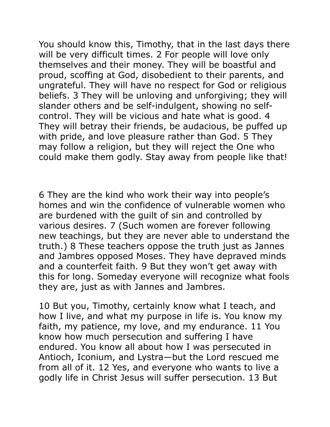You should know this, Timothy, that in the last days there will be very difficult times. 2 For people will love only themselves and their money. They will be boastful and proud, scoffing at God, disobedient to their parents, and ungrateful. They will have no respect for God or religious beliefs. 3 They will be unloving and unforgiving; they will slander others and be self-indulgent, showing no selfcontrol. They will be vicious and hate what is good. 4 They will betray their friends, be audacious, be puffed up with pride, and love pleasure rather than God. 5 They may follow a religion, but they will reject the One who could make them godly. Stay away from people like that!

6 They are the kind who work their way into people's homes and win the confidence of vulnerable women who are burdened with the guilt of sin and controlled by various desires. 7 (Such women are forever following new teachings, but they are never able to understand the truth.) 8 These teachers oppose the truth just as Jannes and Jambres opposed Moses. They have depraved minds and a counterfeit faith. 9 But they won't get away with this for long. Someday everyone will recognize what fools they are, just as with Jannes and Jambres.

10 But you, Timothy, certainly know what I teach, and how I live, and what my purpose in life is. You know my faith, my patience, my love, and my endurance. 11 You know how much persecution and suffering I have endured. You know all about how I was persecuted in Antioch, Iconium, and Lystra—but the Lord rescued me from all of it. 12 Yes, and everyone who wants to live a godly life in Christ Jesus will suffer persecution. 13 But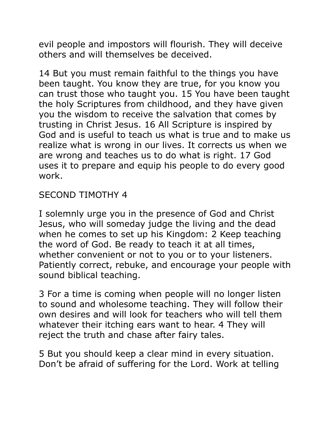evil people and impostors will flourish. They will deceive others and will themselves be deceived.

14 But you must remain faithful to the things you have been taught. You know they are true, for you know you can trust those who taught you. 15 You have been taught the holy Scriptures from childhood, and they have given you the wisdom to receive the salvation that comes by trusting in Christ Jesus. 16 All Scripture is inspired by God and is useful to teach us what is true and to make us realize what is wrong in our lives. It corrects us when we are wrong and teaches us to do what is right. 17 God uses it to prepare and equip his people to do every good work.

## SECOND TIMOTHY 4

I solemnly urge you in the presence of God and Christ Jesus, who will someday judge the living and the dead when he comes to set up his Kingdom: 2 Keep teaching the word of God. Be ready to teach it at all times, whether convenient or not to you or to your listeners. Patiently correct, rebuke, and encourage your people with sound biblical teaching.

3 For a time is coming when people will no longer listen to sound and wholesome teaching. They will follow their own desires and will look for teachers who will tell them whatever their itching ears want to hear. 4 They will reject the truth and chase after fairy tales.

5 But you should keep a clear mind in every situation. Don't be afraid of suffering for the Lord. Work at telling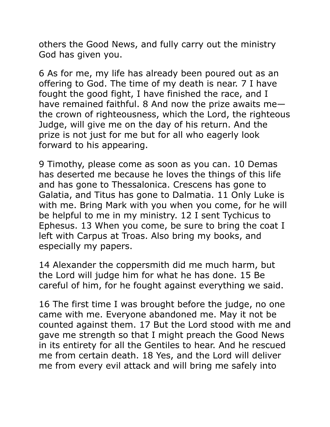others the Good News, and fully carry out the ministry God has given you.

6 As for me, my life has already been poured out as an offering to God. The time of my death is near. 7 I have fought the good fight, I have finished the race, and I have remained faithful. 8 And now the prize awaits me the crown of righteousness, which the Lord, the righteous Judge, will give me on the day of his return. And the prize is not just for me but for all who eagerly look forward to his appearing.

9 Timothy, please come as soon as you can. 10 Demas has deserted me because he loves the things of this life and has gone to Thessalonica. Crescens has gone to Galatia, and Titus has gone to Dalmatia. 11 Only Luke is with me. Bring Mark with you when you come, for he will be helpful to me in my ministry. 12 I sent Tychicus to Ephesus. 13 When you come, be sure to bring the coat I left with Carpus at Troas. Also bring my books, and especially my papers.

14 Alexander the coppersmith did me much harm, but the Lord will judge him for what he has done. 15 Be careful of him, for he fought against everything we said.

16 The first time I was brought before the judge, no one came with me. Everyone abandoned me. May it not be counted against them. 17 But the Lord stood with me and gave me strength so that I might preach the Good News in its entirety for all the Gentiles to hear. And he rescued me from certain death. 18 Yes, and the Lord will deliver me from every evil attack and will bring me safely into